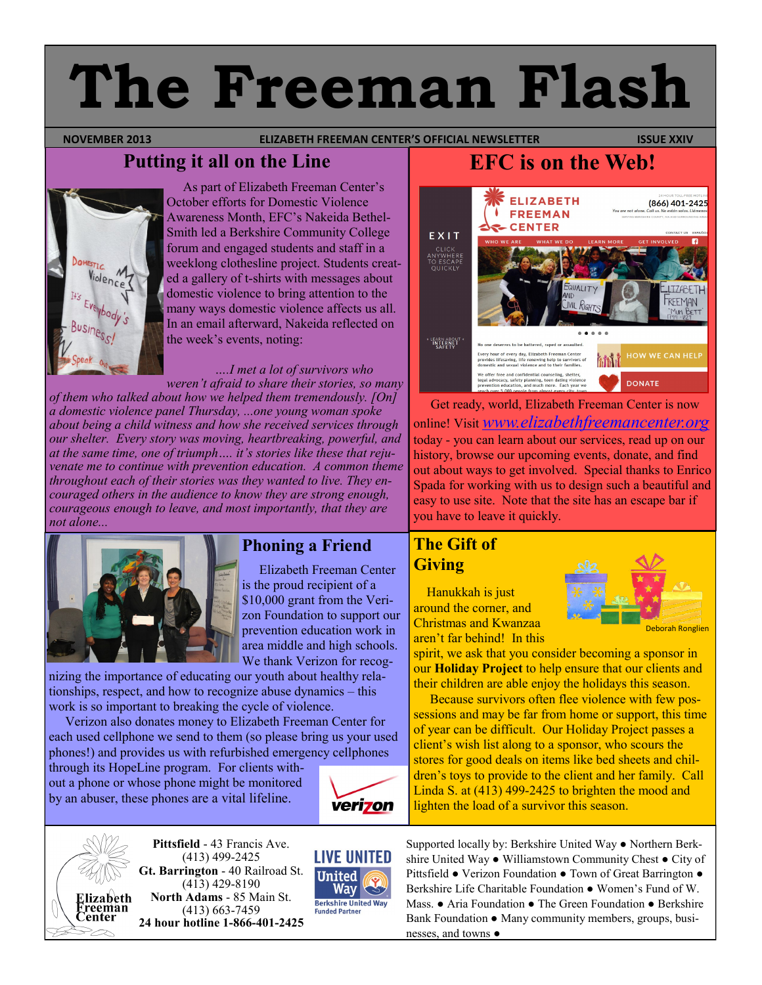# **The Freeman Flash**

#### **NOVEMBER 2013 ELIZABETH FREEMAN CENTER'S OFFICIAL NEWSLETTER ISSUE XXIV**

# **Putting it all on the Line**



 As part of Elizabeth Freeman Center's October efforts for Domestic Violence Awareness Month, EFC's Nakeida Bethel-Smith led a Berkshire Community College forum and engaged students and staff in a weeklong clothesline project. Students created a gallery of t-shirts with messages about domestic violence to bring attention to the many ways domestic violence affects us all. In an email afterward, Nakeida reflected on the week's events, noting:

#### *….I met a lot of survivors who weren't afraid to share their stories, so many*

*of them who talked about how we helped them tremendously. [On] a domestic violence panel Thursday, ...one young woman spoke about being a child witness and how she received services through our shelter. Every story was moving, heartbreaking, powerful, and at the same time, one of triumph…. it's stories like these that rejuvenate me to continue with prevention education. A common theme throughout each of their stories was they wanted to live. They encouraged others in the audience to know they are strong enough, courageous enough to leave, and most importantly, that they are not alone...* 



## **Phoning a Friend**

 Elizabeth Freeman Center is the proud recipient of a \$10,000 grant from the Verizon Foundation to support our prevention education work in area middle and high schools. We thank Verizon for recog-

nizing the importance of educating our youth about healthy relationships, respect, and how to recognize abuse dynamics – this work is so important to breaking the cycle of violence.

 Verizon also donates money to Elizabeth Freeman Center for each used cellphone we send to them (so please bring us your used phones!) and provides us with refurbished emergency cellphones

through its HopeLine program. For clients without a phone or whose phone might be monitored by an abuser, these phones are a vital lifeline.





**Pittsfield** - 43 Francis Ave. (413) 499-2425 **Gt. Barrington** - 40 Railroad St. (413) 429-8190 **North Adams** - 85 Main St. (413) 663-7459 **24 hour hotline 1-866-401-2425**



**EFC is on the Web!**



 Get ready, world, Elizabeth Freeman Center is now online! Visit *[www.elizabethfreemancenter.org](http://www.elizabethfreemancenter.org)* today - you can learn about our services, read up on our history, browse our upcoming events, donate, and find out about ways to get involved. Special thanks to Enrico Spada for working with us to design such a beautiful and easy to use site. Note that the site has an escape bar if you have to leave it quickly.

## **The Gift of Giving**

 Hanukkah is just around the corner, and Christmas and Kwanzaa aren't far behind! In this



spirit, we ask that you consider becoming a sponsor in our **Holiday Project** to help ensure that our clients and their children are able enjoy the holidays this season.

 Because survivors often flee violence with few possessions and may be far from home or support, this time of year can be difficult. Our Holiday Project passes a client's wish list along to a sponsor, who scours the stores for good deals on items like bed sheets and children's toys to provide to the client and her family. Call Linda S. at (413) 499-2425 to brighten the mood and lighten the load of a survivor this season.

Supported locally by: Berkshire United Way ● Northern Berkshire United Way ● Williamstown Community Chest ● City of Pittsfield ● Verizon Foundation ● Town of Great Barrington ● Berkshire Life Charitable Foundation ● Women's Fund of W. Mass. ● Aria Foundation ● The Green Foundation ● Berkshire Bank Foundation ● Many community members, groups, businesses, and towns ●